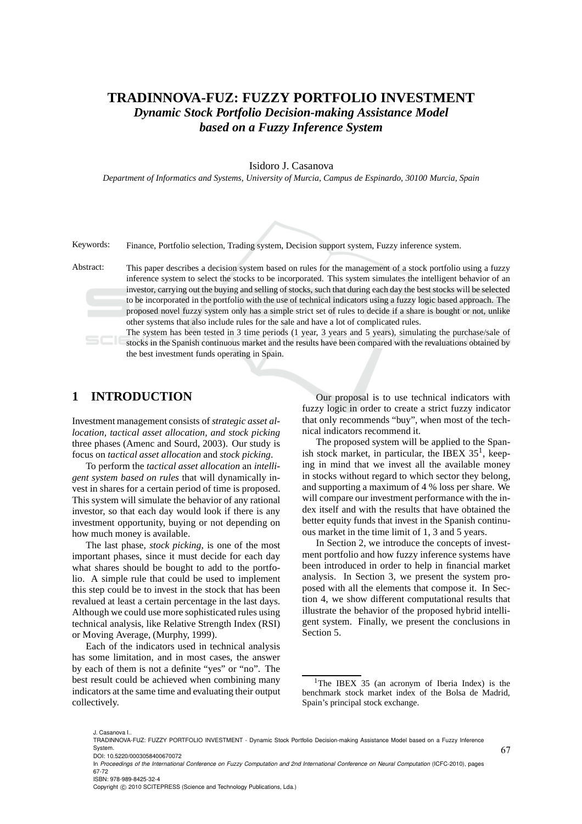# **TRADINNOVA-FUZ: FUZZY PORTFOLIO INVESTMENT** *Dynamic Stock Portfolio Decision-making Assistance Model based on a Fuzzy Inference System*

#### Isidoro J. Casanova

*Department of Informatics and Systems, University of Murcia, Campus de Espinardo, 30100 Murcia, Spain*

Keywords: Finance, Portfolio selection, Trading system, Decision support system, Fuzzy inference system.

Abstract: This paper describes a decision system based on rules for the management of a stock portfolio using a fuzzy inference system to select the stocks to be incorporated. This system simulates the intelligent behavior of an investor, carrying out the buying and selling of stocks, such that during each day the best stocks will be selected to be incorporated in the portfolio with the use of technical indicators using a fuzzy logic based approach. The proposed novel fuzzy system only has a simple strict set of rules to decide if a share is bought or not, unlike other systems that also include rules for the sale and have a lot of complicated rules.

> The system has been tested in 3 time periods (1 year, 3 years and 5 years), simulating the purchase/sale of stocks in the Spanish continuous market and the results have been compared with the revaluations obtained by the best investment funds operating in Spain.

### **1 INTRODUCTION**

Investment management consists of *strategic asset allocation, tactical asset allocation, and stock picking* three phases (Amenc and Sourd, 2003). Our study is focus on *tactical asset allocation* and *stock picking*.

To perform the *tactical asset allocation* an *intelligent system based on rules* that will dynamically invest in shares for a certain period of time is proposed. This system will simulate the behavior of any rational investor, so that each day would look if there is any investment opportunity, buying or not depending on how much money is available.

The last phase, *stock picking*, is one of the most important phases, since it must decide for each day what shares should be bought to add to the portfolio. A simple rule that could be used to implement this step could be to invest in the stock that has been revalued at least a certain percentage in the last days. Although we could use more sophisticated rules using technical analysis, like Relative Strength Index (RSI) or Moving Average, (Murphy, 1999).

Each of the indicators used in technical analysis has some limitation, and in most cases, the answer by each of them is not a definite "yes" or "no". The best result could be achieved when combining many indicators at the same time and evaluating their output collectively.

Our proposal is to use technical indicators with fuzzy logic in order to create a strict fuzzy indicator that only recommends "buy", when most of the technical indicators recommend it.

The proposed system will be applied to the Spanish stock market, in particular, the IBEX  $35<sup>1</sup>$ , keeping in mind that we invest all the available money in stocks without regard to which sector they belong, and supporting a maximum of 4 % loss per share. We will compare our investment performance with the index itself and with the results that have obtained the better equity funds that invest in the Spanish continuous market in the time limit of 1, 3 and 5 years.

In Section 2, we introduce the concepts of investment portfolio and how fuzzy inference systems have been introduced in order to help in financial market analysis. In Section 3, we present the system proposed with all the elements that compose it. In Section 4, we show different computational results that illustrate the behavior of the proposed hybrid intelligent system. Finally, we present the conclusions in Section 5.

Copyright © 2010 SCITEPRESS (Science and Technology Publications, Lda.)

<sup>&</sup>lt;sup>1</sup>The IBEX 35 (an acronym of Iberia Index) is the benchmark stock market index of the Bolsa de Madrid, Spain's principal stock exchange.

J. Casanova I..

TRADINNOVA-FUZ: FUZZY PORTFOLIO INVESTMENT - Dynamic Stock Portfolio Decision-making Assistance Model based on a Fuzzy Inference System. DOI: 10.5220/0003058400670072

In *Proceedings of the International Conference on Fuzzy Computation and 2nd International Conference on Neural Computation* (ICFC-2010), pages 67-72 ISBN: 978-989-8425-32-4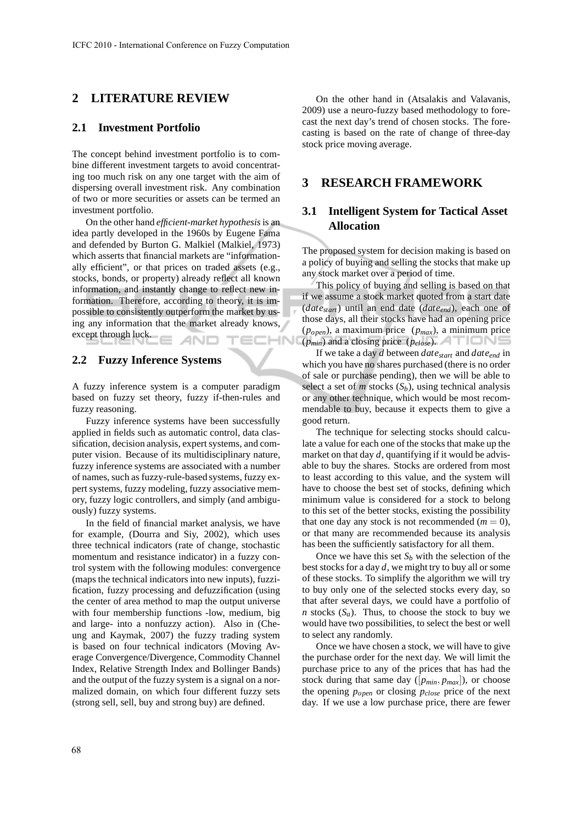## **2 LITERATURE REVIEW**

#### **2.1 Investment Portfolio**

The concept behind investment portfolio is to combine different investment targets to avoid concentrating too much risk on any one target with the aim of dispersing overall investment risk. Any combination of two or more securities or assets can be termed an investment portfolio.

On the other hand *efficient-market hypothesis*is an idea partly developed in the 1960s by Eugene Fama and defended by Burton G. Malkiel (Malkiel, 1973) which asserts that financial markets are "informationally efficient", or that prices on traded assets (e.g., stocks, bonds, or property) already reflect all known information, and instantly change to reflect new information. Therefore, according to theory, it is impossible to consistently outperform the market by using any information that the market already knows, except through luck. **AND** '=r  $\square \square \square \square$ 

#### **2.2 Fuzzy Inference Systems**

A fuzzy inference system is a computer paradigm based on fuzzy set theory, fuzzy if-then-rules and fuzzy reasoning.

Fuzzy inference systems have been successfully applied in fields such as automatic control, data classification, decision analysis, expert systems, and computer vision. Because of its multidisciplinary nature, fuzzy inference systems are associated with a number of names, such as fuzzy-rule-based systems, fuzzy expert systems, fuzzy modeling, fuzzy associative memory, fuzzy logic controllers, and simply (and ambiguously) fuzzy systems.

In the field of financial market analysis, we have for example, (Dourra and Siy, 2002), which uses three technical indicators (rate of change, stochastic momentum and resistance indicator) in a fuzzy control system with the following modules: convergence (maps the technical indicators into new inputs), fuzzification, fuzzy processing and defuzzification (using the center of area method to map the output universe with four membership functions -low, medium, big and large- into a nonfuzzy action). Also in (Cheung and Kaymak, 2007) the fuzzy trading system is based on four technical indicators (Moving Average Convergence/Divergence, Commodity Channel Index, Relative Strength Index and Bollinger Bands) and the output of the fuzzy system is a signal on a normalized domain, on which four different fuzzy sets (strong sell, sell, buy and strong buy) are defined.

On the other hand in (Atsalakis and Valavanis, 2009) use a neuro-fuzzy based methodology to forecast the next day's trend of chosen stocks. The forecasting is based on the rate of change of three-day stock price moving average.

### **3 RESEARCH FRAMEWORK**

### **3.1 Intelligent System for Tactical Asset Allocation**

The proposed system for decision making is based on a policy of buying and selling the stocks that make up any stock market over a period of time.

This policy of buying and selling is based on that if we assume a stock market quoted from a start date (*datestart*) until an end date (*dateend*), each one of those days, all their stocks have had an opening price (*popen*), a maximum price (*pmax*), a minimum price (*pmin*) and a closing price (*pclose*).

If we take a day *d* between *datestart* and *dateend* in which you have no shares purchased (there is no order of sale or purchase pending), then we will be able to select a set of *m* stocks  $(S_b)$ , using technical analysis or any other technique, which would be most recommendable to buy, because it expects them to give a good return.

The technique for selecting stocks should calculate a value for each one of the stocks that make up the market on that day *d*, quantifying if it would be advisable to buy the shares. Stocks are ordered from most to least according to this value, and the system will have to choose the best set of stocks, defining which minimum value is considered for a stock to belong to this set of the better stocks, existing the possibility that one day any stock is not recommended  $(m = 0)$ , or that many are recommended because its analysis has been the sufficiently satisfactory for all them.

Once we have this set  $S_b$  with the selection of the best stocks for a day *d*, we might try to buy all or some of these stocks. To simplify the algorithm we will try to buy only one of the selected stocks every day, so that after several days, we could have a portfolio of *n* stocks  $(S_a)$ . Thus, to choose the stock to buy we would have two possibilities, to select the best or well to select any randomly.

Once we have chosen a stock, we will have to give the purchase order for the next day. We will limit the purchase price to any of the prices that has had the stock during that same day  $([p_{min}, p_{max}])$ , or choose the opening *popen* or closing *pclose* price of the next day. If we use a low purchase price, there are fewer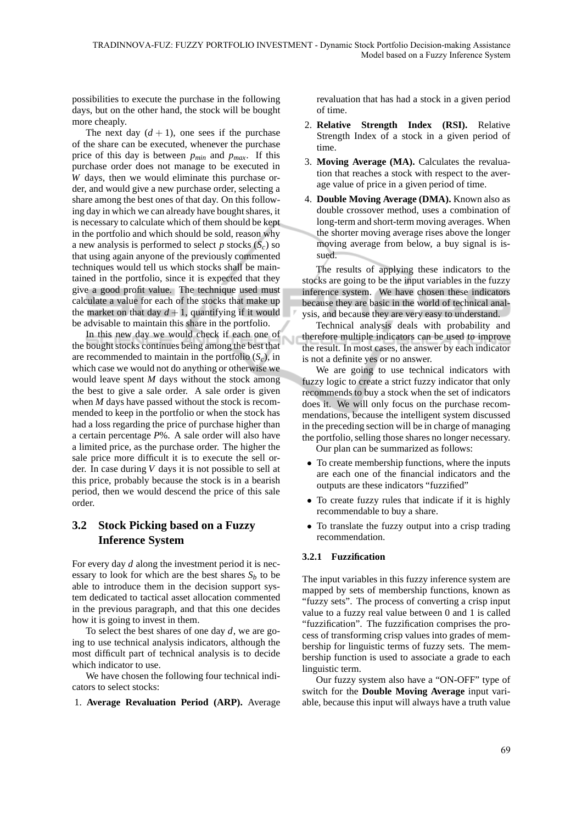Ú

possibilities to execute the purchase in the following days, but on the other hand, the stock will be bought more cheaply.

The next day  $(d + 1)$ , one sees if the purchase of the share can be executed, whenever the purchase price of this day is between *pmin* and *pmax*. If this purchase order does not manage to be executed in *W* days, then we would eliminate this purchase order, and would give a new purchase order, selecting a share among the best ones of that day. On this following day in which we can already have bought shares, it is necessary to calculate which of them should be kept in the portfolio and which should be sold, reason why a new analysis is performed to select  $p$  stocks  $(S_c)$  so that using again anyone of the previously commented techniques would tell us which stocks shall be maintained in the portfolio, since it is expected that they give a good profit value. The technique used must calculate a value for each of the stocks that make up the market on that day  $d+1$ , quantifying if it would be advisable to maintain this share in the portfolio.

In this new day we would check if each one of the bought stocks continues being among the best that are recommended to maintain in the portfolio  $(S_c)$ , in which case we would not do anything or otherwise we would leave spent *M* days without the stock among the best to give a sale order. A sale order is given when *M* days have passed without the stock is recommended to keep in the portfolio or when the stock has had a loss regarding the price of purchase higher than a certain percentage *P*%. A sale order will also have a limited price, as the purchase order. The higher the sale price more difficult it is to execute the sell order. In case during *V* days it is not possible to sell at this price, probably because the stock is in a bearish period, then we would descend the price of this sale order.

## **3.2 Stock Picking based on a Fuzzy Inference System**

For every day *d* along the investment period it is necessary to look for which are the best shares  $S_b$  to be able to introduce them in the decision support system dedicated to tactical asset allocation commented in the previous paragraph, and that this one decides how it is going to invest in them.

To select the best shares of one day *d*, we are going to use technical analysis indicators, although the most difficult part of technical analysis is to decide which indicator to use.

We have chosen the following four technical indicators to select stocks:

1. **Average Revaluation Period (ARP).** Average

revaluation that has had a stock in a given period of time.

- 2. **Relative Strength Index (RSI).** Relative Strength Index of a stock in a given period of time.
- 3. **Moving Average (MA).** Calculates the revaluation that reaches a stock with respect to the average value of price in a given period of time.
- 4. **Double Moving Average (DMA).** Known also as double crossover method, uses a combination of long-term and short-term moving averages. When the shorter moving average rises above the longer moving average from below, a buy signal is issued.

The results of applying these indicators to the stocks are going to be the input variables in the fuzzy inference system. We have chosen these indicators because they are basic in the world of technical analysis, and because they are very easy to understand.

Technical analysis deals with probability and therefore multiple indicators can be used to improve the result. In most cases, the answer by each indicator is not a definite yes or no answer.

We are going to use technical indicators with fuzzy logic to create a strict fuzzy indicator that only recommends to buy a stock when the set of indicators does it. We will only focus on the purchase recommendations, because the intelligent system discussed in the preceding section will be in charge of managing the portfolio, selling those shares no longer necessary. Our plan can be summarized as follows:

• To create membership functions, where the inputs are each one of the financial indicators and the outputs are these indicators "fuzzified"

- To create fuzzy rules that indicate if it is highly recommendable to buy a share.
- To translate the fuzzy output into a crisp trading recommendation.

#### **3.2.1 Fuzzification**

The input variables in this fuzzy inference system are mapped by sets of membership functions, known as "fuzzy sets". The process of converting a crisp input value to a fuzzy real value between 0 and 1 is called "fuzzification". The fuzzification comprises the process of transforming crisp values into grades of membership for linguistic terms of fuzzy sets. The membership function is used to associate a grade to each linguistic term.

Our fuzzy system also have a "ON-OFF" type of switch for the **Double Moving Average** input variable, because this input will always have a truth value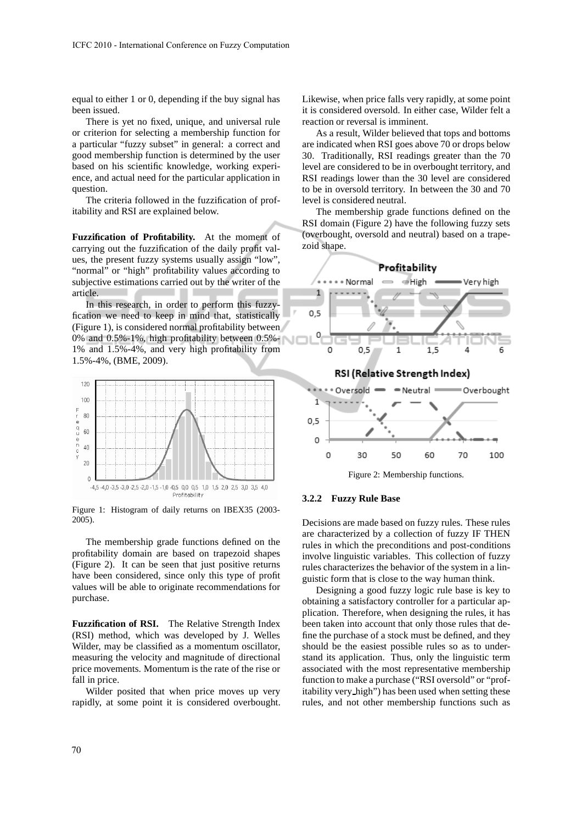equal to either 1 or 0, depending if the buy signal has been issued.

There is yet no fixed, unique, and universal rule or criterion for selecting a membership function for a particular "fuzzy subset" in general: a correct and good membership function is determined by the user based on his scientific knowledge, working experience, and actual need for the particular application in question.

The criteria followed in the fuzzification of profitability and RSI are explained below.

**Fuzzification of Profitability.** At the moment of carrying out the fuzzification of the daily profit values, the present fuzzy systems usually assign "low", "normal" or "high" profitability values according to subjective estimations carried out by the writer of the article.

In this research, in order to perform this fuzzyfication we need to keep in mind that, statistically (Figure 1), is considered normal profitability between 0% and 0.5%-1%, high profitability between 0.5%- 1% and 1.5%-4%, and very high profitability from 1.5%-4%, (BME, 2009).



Figure 1: Histogram of daily returns on IBEX35 (2003- 2005).

The membership grade functions defined on the profitability domain are based on trapezoid shapes (Figure 2). It can be seen that just positive returns have been considered, since only this type of profit values will be able to originate recommendations for purchase.

**Fuzzification of RSI.** The Relative Strength Index (RSI) method, which was developed by J. Welles Wilder, may be classified as a momentum oscillator, measuring the velocity and magnitude of directional price movements. Momentum is the rate of the rise or fall in price.

Wilder posited that when price moves up very rapidly, at some point it is considered overbought. Likewise, when price falls very rapidly, at some point it is considered oversold. In either case, Wilder felt a reaction or reversal is imminent.

As a result, Wilder believed that tops and bottoms are indicated when RSI goes above 70 or drops below 30. Traditionally, RSI readings greater than the 70 level are considered to be in overbought territory, and RSI readings lower than the 30 level are considered to be in oversold territory. In between the 30 and 70 level is considered neutral.

The membership grade functions defined on the RSI domain (Figure 2) have the following fuzzy sets (overbought, oversold and neutral) based on a trapezoid shape.



Figure 2: Membership functions.

#### **3.2.2 Fuzzy Rule Base**

Decisions are made based on fuzzy rules. These rules are characterized by a collection of fuzzy IF THEN rules in which the preconditions and post-conditions involve linguistic variables. This collection of fuzzy rules characterizes the behavior of the system in a linguistic form that is close to the way human think.

Designing a good fuzzy logic rule base is key to obtaining a satisfactory controller for a particular application. Therefore, when designing the rules, it has been taken into account that only those rules that define the purchase of a stock must be defined, and they should be the easiest possible rules so as to understand its application. Thus, only the linguistic term associated with the most representative membership function to make a purchase ("RSI oversold" or "profitability very high") has been used when setting these rules, and not other membership functions such as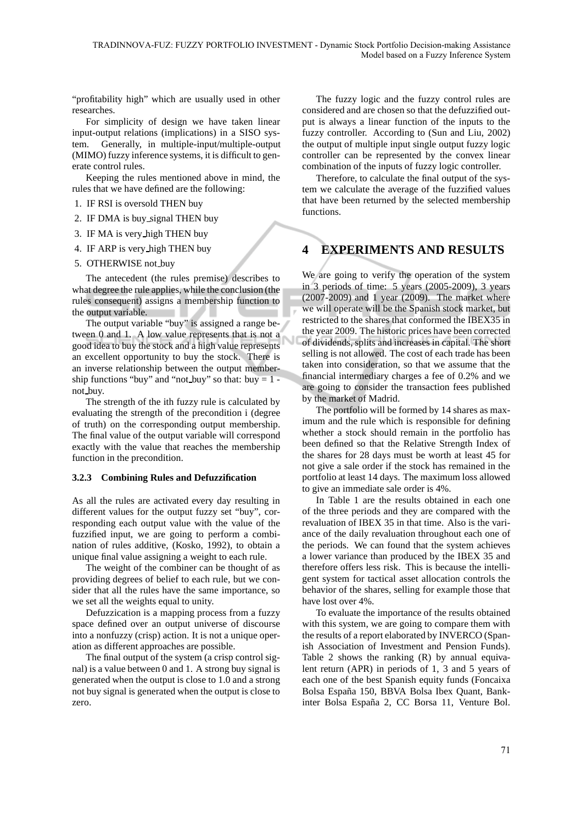"profitability high" which are usually used in other researches.

For simplicity of design we have taken linear input-output relations (implications) in a SISO system. Generally, in multiple-input/multiple-output (MIMO) fuzzy inference systems, it is difficult to generate control rules.

Keeping the rules mentioned above in mind, the rules that we have defined are the following:

- 1. IF RSI is oversold THEN buy
- 2. IF DMA is buy signal THEN buy
- 3. IF MA is very high THEN buy
- 4. IF ARP is very high THEN buy
- 5. OTHERWISE not\_buy

The antecedent (the rules premise) describes to what degree the rule applies, while the conclusion (the rules consequent) assigns a membership function to the output variable.

The output variable "buy" is assigned a range between 0 and 1. A low value represents that is not a good idea to buy the stock and a high value represents an excellent opportunity to buy the stock. There is an inverse relationship between the output membership functions "buy" and "not\_buy" so that: buy  $= 1$ not buy.

The strength of the ith fuzzy rule is calculated by evaluating the strength of the precondition i (degree of truth) on the corresponding output membership. The final value of the output variable will correspond exactly with the value that reaches the membership function in the precondition.

#### **3.2.3 Combining Rules and Defuzzification**

As all the rules are activated every day resulting in different values for the output fuzzy set "buy", corresponding each output value with the value of the fuzzified input, we are going to perform a combination of rules additive, (Kosko, 1992), to obtain a unique final value assigning a weight to each rule.

The weight of the combiner can be thought of as providing degrees of belief to each rule, but we consider that all the rules have the same importance, so we set all the weights equal to unity.

Defuzzication is a mapping process from a fuzzy space defined over an output universe of discourse into a nonfuzzy (crisp) action. It is not a unique operation as different approaches are possible.

The final output of the system (a crisp control signal) is a value between 0 and 1. A strong buy signal is generated when the output is close to 1.0 and a strong not buy signal is generated when the output is close to zero.

The fuzzy logic and the fuzzy control rules are considered and are chosen so that the defuzzified output is always a linear function of the inputs to the fuzzy controller. According to (Sun and Liu, 2002) the output of multiple input single output fuzzy logic controller can be represented by the convex linear combination of the inputs of fuzzy logic controller.

Therefore, to calculate the final output of the system we calculate the average of the fuzzified values that have been returned by the selected membership functions.

# **4 EXPERIMENTS AND RESULTS**

We are going to verify the operation of the system in 3 periods of time: 5 years (2005-2009), 3 years (2007-2009) and 1 year (2009). The market where we will operate will be the Spanish stock market, but restricted to the shares that conformed the IBEX35 in the year 2009. The historic prices have been corrected of dividends, splits and increases in capital. The short selling is not allowed. The cost of each trade has been taken into consideration, so that we assume that the financial intermediary charges a fee of 0.2% and we are going to consider the transaction fees published by the market of Madrid.

The portfolio will be formed by 14 shares as maximum and the rule which is responsible for defining whether a stock should remain in the portfolio has been defined so that the Relative Strength Index of the shares for 28 days must be worth at least 45 for not give a sale order if the stock has remained in the portfolio at least 14 days. The maximum loss allowed to give an immediate sale order is 4%.

In Table 1 are the results obtained in each one of the three periods and they are compared with the revaluation of IBEX 35 in that time. Also is the variance of the daily revaluation throughout each one of the periods. We can found that the system achieves a lower variance than produced by the IBEX 35 and therefore offers less risk. This is because the intelligent system for tactical asset allocation controls the behavior of the shares, selling for example those that have lost over 4%.

To evaluate the importance of the results obtained with this system, we are going to compare them with the results of a report elaborated by INVERCO (Spanish Association of Investment and Pension Funds). Table 2 shows the ranking (R) by annual equivalent return (APR) in periods of 1, 3 and 5 years of each one of the best Spanish equity funds (Foncaixa Bolsa España 150, BBVA Bolsa Ibex Quant, Bankinter Bolsa España 2, CC Borsa 11, Venture Bol.